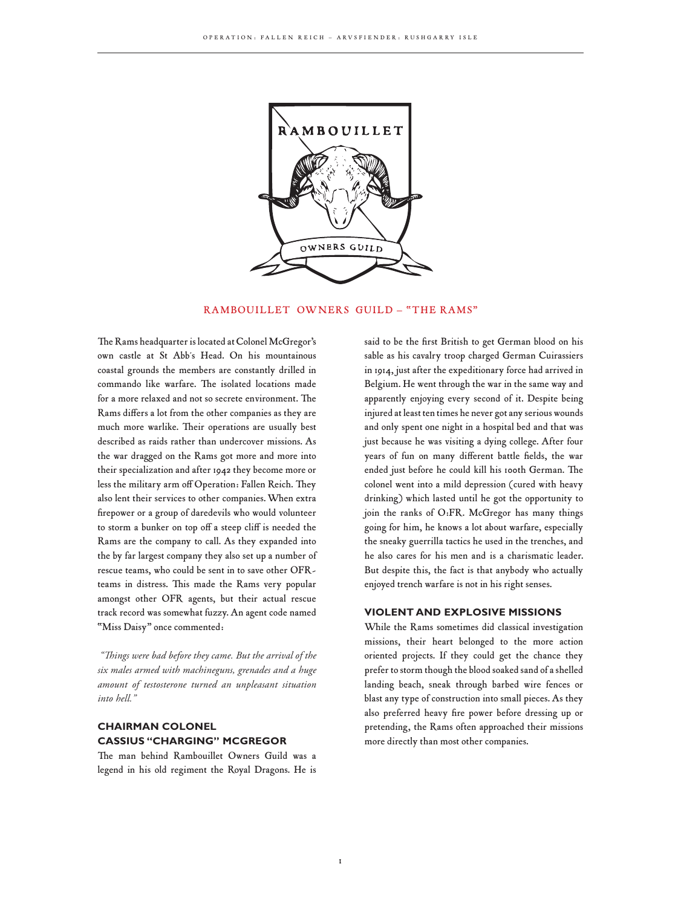

## RAMBOUILLET OWNERS GUILD — "THE RAMS"

The Rams headquarter is located at Colonel McGregor's own castle at St Abb´s Head. On his mountainous coastal grounds the members are constantly drilled in commando like warfare. The isolated locations made for a more relaxed and not so secrete environment. The Rams differs a lot from the other companies as they are much more warlike. Their operations are usually best described as raids rather than undercover missions. As the war dragged on the Rams got more and more into their specialization and after 1942 they become more or less the military arm off Operation: Fallen Reich. They also lent their services to other companies. When extra firepower or a group of daredevils who would volunteer to storm a bunker on top off a steep cliff is needed the Rams are the company to call. As they expanded into the by far largest company they also set up a number of rescue teams, who could be sent in to save other OFRteams in distress. This made the Rams very popular amongst other OFR agents, but their actual rescue track record was somewhat fuzzy. An agent code named "Miss Daisy" once commented:

 *"Things were bad before they came. But the arrival of the six males armed with machineguns, grenades and a huge amount of testosterone turned an unpleasant situation into hell."*

# **CHAIRMAN COLONEL CASSIUS "CHARGING" MCGREGOR**

The man behind Rambouillet Owners Guild was a legend in his old regiment the Royal Dragons. He is

said to be the first British to get German blood on his sable as his cavalry troop charged German Cuirassiers in 1914, just after the expeditionary force had arrived in Belgium. He went through the war in the same way and apparently enjoying every second of it. Despite being injured at least ten times he never got any serious wounds and only spent one night in a hospital bed and that was just because he was visiting a dying college. After four years of fun on many different battle fields, the war ended just before he could kill his 100th German. The colonel went into a mild depression (cured with heavy drinking) which lasted until he got the opportunity to join the ranks of O:FR. McGregor has many things going for him, he knows a lot about warfare, especially the sneaky guerrilla tactics he used in the trenches, and he also cares for his men and is a charismatic leader. But despite this, the fact is that anybody who actually enjoyed trench warfare is not in his right senses.

## **VIOLENT AND EXPLOSIVE MISSIONS**

While the Rams sometimes did classical investigation missions, their heart belonged to the more action oriented projects. If they could get the chance they prefer to storm though the blood soaked sand of a shelled landing beach, sneak through barbed wire fences or blast any type of construction into small pieces. As they also preferred heavy fire power before dressing up or pretending, the Rams often approached their missions more directly than most other companies.